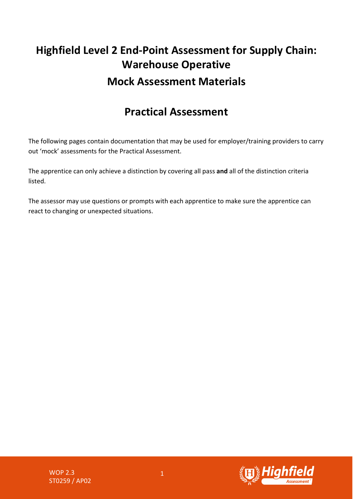## **Highfield Level 2 End-Point Assessment for Supply Chain: Warehouse Operative Mock Assessment Materials**

## **Practical Assessment**

The following pages contain documentation that may be used for employer/training providers to carry out 'mock' assessments for the Practical Assessment.

The apprentice can only achieve a distinction by covering all pass **and** all of the distinction criteria listed.

The assessor may use questions or prompts with each apprentice to make sure the apprentice can react to changing or unexpected situations.